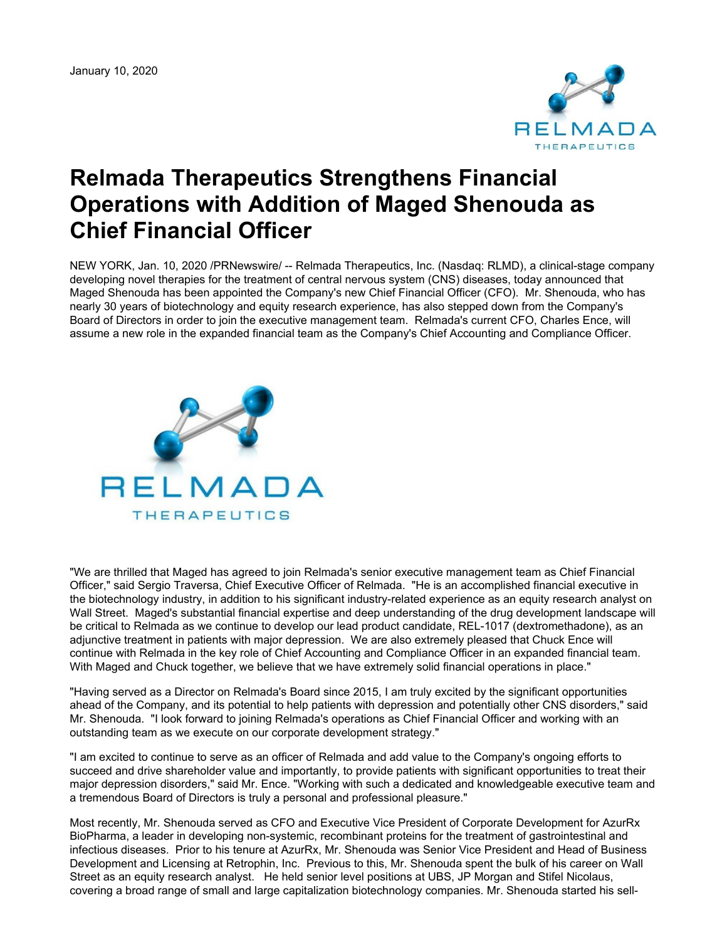January 10, 2020



## **Relmada Therapeutics Strengthens Financial Operations with Addition of Maged Shenouda as Chief Financial Officer**

NEW YORK, Jan. 10, 2020 /PRNewswire/ -- Relmada Therapeutics, Inc. (Nasdaq: RLMD), a clinical-stage company developing novel therapies for the treatment of central nervous system (CNS) diseases, today announced that Maged Shenouda has been appointed the Company's new Chief Financial Officer (CFO). Mr. Shenouda, who has nearly 30 years of biotechnology and equity research experience, has also stepped down from the Company's Board of Directors in order to join the executive management team. Relmada's current CFO, Charles Ence, will assume a new role in the expanded financial team as the Company's Chief Accounting and Compliance Officer.



"We are thrilled that Maged has agreed to join Relmada's senior executive management team as Chief Financial Officer," said Sergio Traversa, Chief Executive Officer of Relmada. "He is an accomplished financial executive in the biotechnology industry, in addition to his significant industry-related experience as an equity research analyst on Wall Street. Maged's substantial financial expertise and deep understanding of the drug development landscape will be critical to Relmada as we continue to develop our lead product candidate, REL-1017 (dextromethadone), as an adjunctive treatment in patients with major depression. We are also extremely pleased that Chuck Ence will continue with Relmada in the key role of Chief Accounting and Compliance Officer in an expanded financial team. With Maged and Chuck together, we believe that we have extremely solid financial operations in place."

"Having served as a Director on Relmada's Board since 2015, I am truly excited by the significant opportunities ahead of the Company, and its potential to help patients with depression and potentially other CNS disorders," said Mr. Shenouda. "I look forward to joining Relmada's operations as Chief Financial Officer and working with an outstanding team as we execute on our corporate development strategy."

"I am excited to continue to serve as an officer of Relmada and add value to the Company's ongoing efforts to succeed and drive shareholder value and importantly, to provide patients with significant opportunities to treat their major depression disorders," said Mr. Ence. "Working with such a dedicated and knowledgeable executive team and a tremendous Board of Directors is truly a personal and professional pleasure."

Most recently, Mr. Shenouda served as CFO and Executive Vice President of Corporate Development for AzurRx BioPharma, a leader in developing non-systemic, recombinant proteins for the treatment of gastrointestinal and infectious diseases. Prior to his tenure at AzurRx, Mr. Shenouda was Senior Vice President and Head of Business Development and Licensing at Retrophin, Inc. Previous to this, Mr. Shenouda spent the bulk of his career on Wall Street as an equity research analyst. He held senior level positions at UBS, JP Morgan and Stifel Nicolaus, covering a broad range of small and large capitalization biotechnology companies. Mr. Shenouda started his sell-